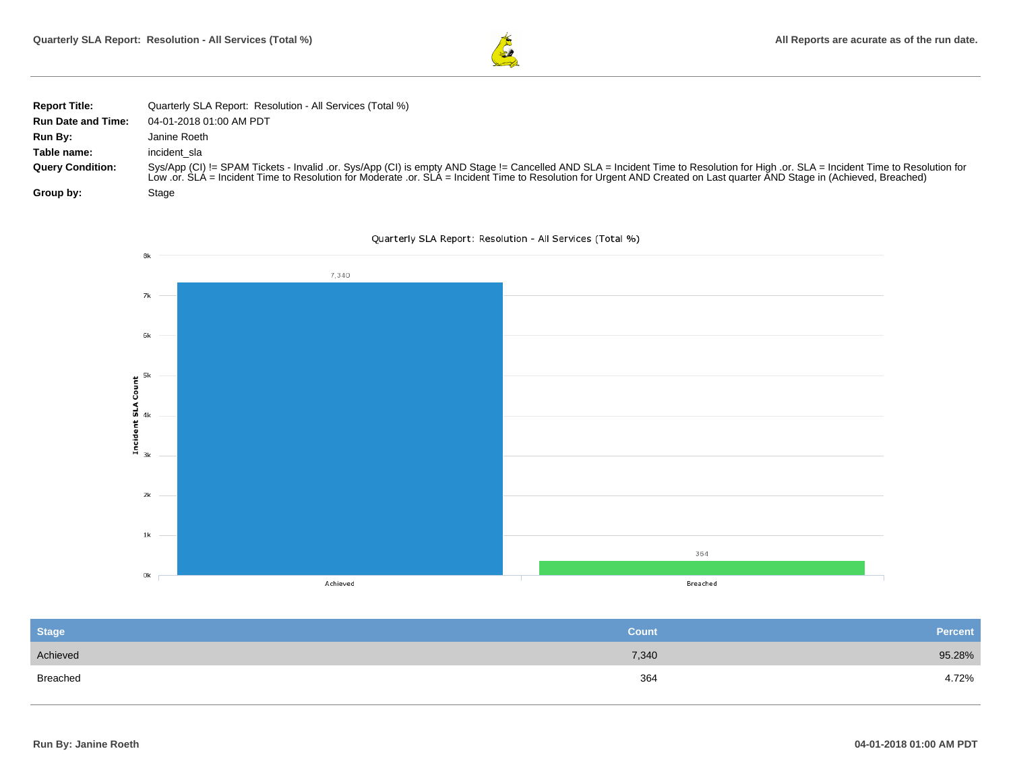

| <b>Report Title:</b>      | Quarterly SLA Report: Resolution - All Services (Total %)                                                                                                                                                                                                                                                                                                     |
|---------------------------|---------------------------------------------------------------------------------------------------------------------------------------------------------------------------------------------------------------------------------------------------------------------------------------------------------------------------------------------------------------|
| <b>Run Date and Time:</b> | 04-01-2018 01:00 AM PDT                                                                                                                                                                                                                                                                                                                                       |
| Run By:                   | Janine Roeth                                                                                                                                                                                                                                                                                                                                                  |
| Table name:               | incident sla                                                                                                                                                                                                                                                                                                                                                  |
| <b>Query Condition:</b>   | Sys/App (CI) != SPAM Tickets - Invalid .or. Sys/App (CI) is empty AND Stage != Cancelled AND SLA = Incident Time to Resolution for High .or. SLA = Incident Time to Resolution for<br>Low .or. SLA = Incident Time to Resolution for Moderate .or. SLA = Incident Time to Resolution for Urgent AND Created on Last quarter AND Stage in (Achieved, Breached) |
| Group by:                 | Stage                                                                                                                                                                                                                                                                                                                                                         |





| <b>Stage</b> | <b>Count</b> | <b>Percent</b> |
|--------------|--------------|----------------|
| Achieved     | 7,340        | 95.28%         |
| Breached     | 364          | 4.72%          |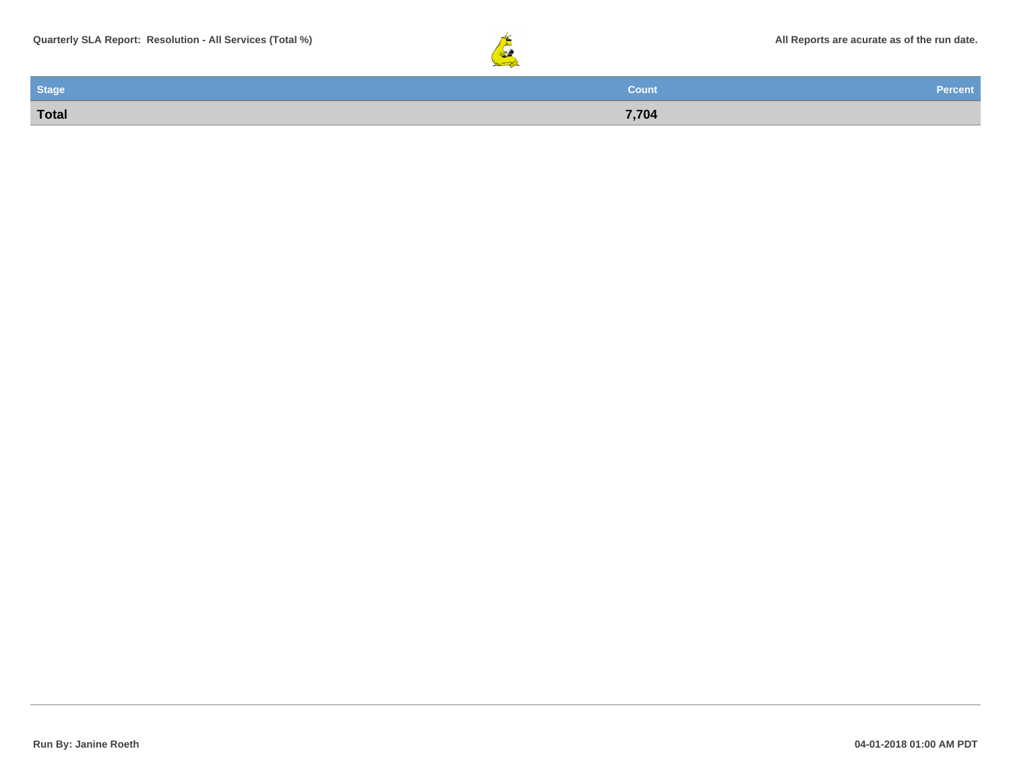

| <b>Stage</b> | <b>Count</b> | Percent |
|--------------|--------------|---------|
| Total        | 7,704        |         |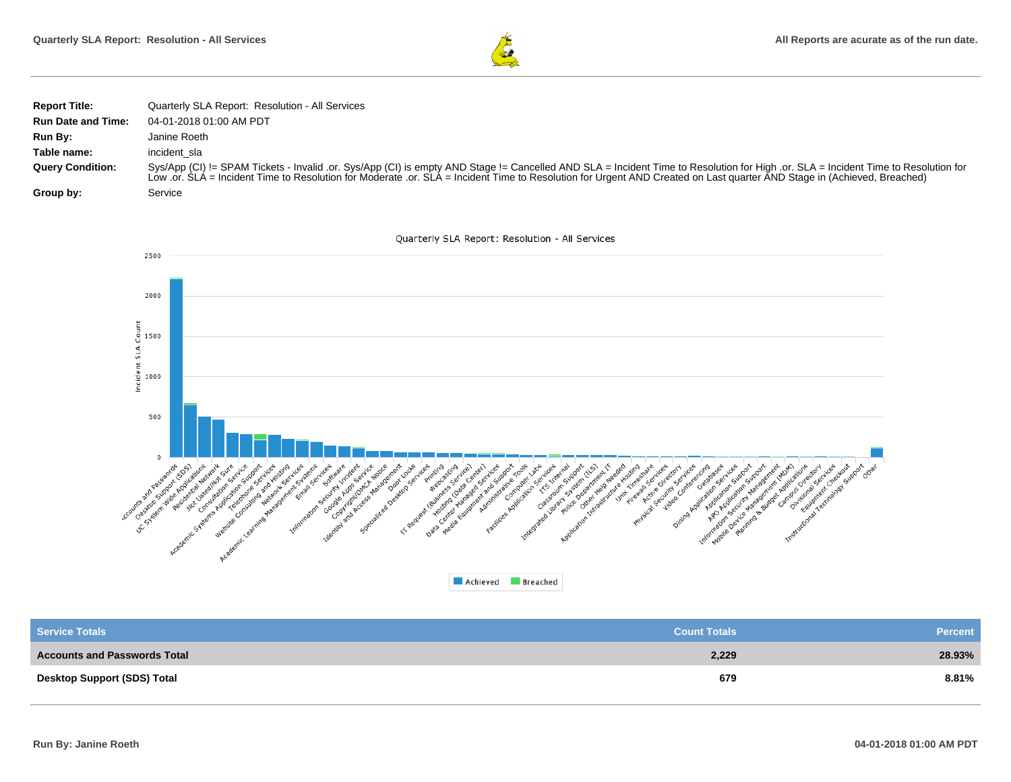

| <b>Report Title:</b>      | Quarterly SLA Report: Resolution - All Services                                                                                                                                                                                                                                                                                                               |
|---------------------------|---------------------------------------------------------------------------------------------------------------------------------------------------------------------------------------------------------------------------------------------------------------------------------------------------------------------------------------------------------------|
| <b>Run Date and Time:</b> | 04-01-2018 01:00 AM PDT                                                                                                                                                                                                                                                                                                                                       |
| Run By:                   | Janine Roeth                                                                                                                                                                                                                                                                                                                                                  |
| Table name:               | incident sla                                                                                                                                                                                                                                                                                                                                                  |
| <b>Query Condition:</b>   | Sys/App (CI) != SPAM Tickets - Invalid .or. Sys/App (CI) is empty AND Stage != Cancelled AND SLA = Incident Time to Resolution for High .or. SLA = Incident Time to Resolution for<br>Low .or. SLA = Incident Time to Resolution for Moderate .or. SLA = Incident Time to Resolution for Urgent AND Created on Last quarter AND Stage in (Achieved, Breached) |
| Group by:                 | Service                                                                                                                                                                                                                                                                                                                                                       |



| <b>Service Totals</b>               | <b>Count Totals</b> | <b>Percent</b> |
|-------------------------------------|---------------------|----------------|
| <b>Accounts and Passwords Total</b> | 2,229               | 28.93%         |
| Desktop Support (SDS) Total         | 679                 | 8.81%          |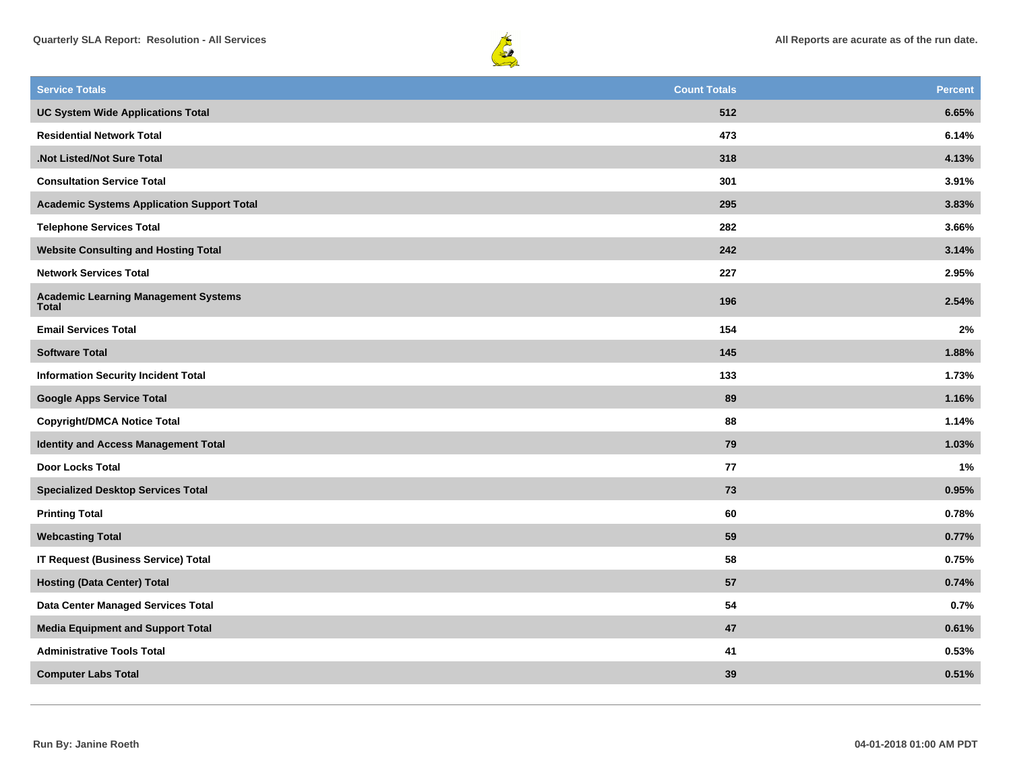



| <b>Service Totals</b>                                       | <b>Count Totals</b> | <b>Percent</b> |
|-------------------------------------------------------------|---------------------|----------------|
| <b>UC System Wide Applications Total</b>                    | 512                 | 6.65%          |
| <b>Residential Network Total</b>                            | 473                 | 6.14%          |
| .Not Listed/Not Sure Total                                  | 318                 | 4.13%          |
| <b>Consultation Service Total</b>                           | 301                 | 3.91%          |
| <b>Academic Systems Application Support Total</b>           | 295                 | 3.83%          |
| <b>Telephone Services Total</b>                             | 282                 | 3.66%          |
| <b>Website Consulting and Hosting Total</b>                 | 242                 | 3.14%          |
| <b>Network Services Total</b>                               | 227                 | 2.95%          |
| <b>Academic Learning Management Systems</b><br><b>Total</b> | 196                 | 2.54%          |
| <b>Email Services Total</b>                                 | 154                 | 2%             |
| <b>Software Total</b>                                       | 145                 | 1.88%          |
| <b>Information Security Incident Total</b>                  | 133                 | 1.73%          |
| <b>Google Apps Service Total</b>                            | 89                  | 1.16%          |
| <b>Copyright/DMCA Notice Total</b>                          | 88                  | 1.14%          |
| Identity and Access Management Total                        | 79                  | 1.03%          |
| <b>Door Locks Total</b>                                     | 77                  | 1%             |
| <b>Specialized Desktop Services Total</b>                   | 73                  | 0.95%          |
| <b>Printing Total</b>                                       | 60                  | 0.78%          |
| <b>Webcasting Total</b>                                     | 59                  | 0.77%          |
| <b>IT Request (Business Service) Total</b>                  | 58                  | 0.75%          |
| <b>Hosting (Data Center) Total</b>                          | 57                  | 0.74%          |
| Data Center Managed Services Total                          | 54                  | 0.7%           |
| <b>Media Equipment and Support Total</b>                    | 47                  | 0.61%          |
| <b>Administrative Tools Total</b>                           | 41                  | 0.53%          |
| <b>Computer Labs Total</b>                                  | 39                  | 0.51%          |
|                                                             |                     |                |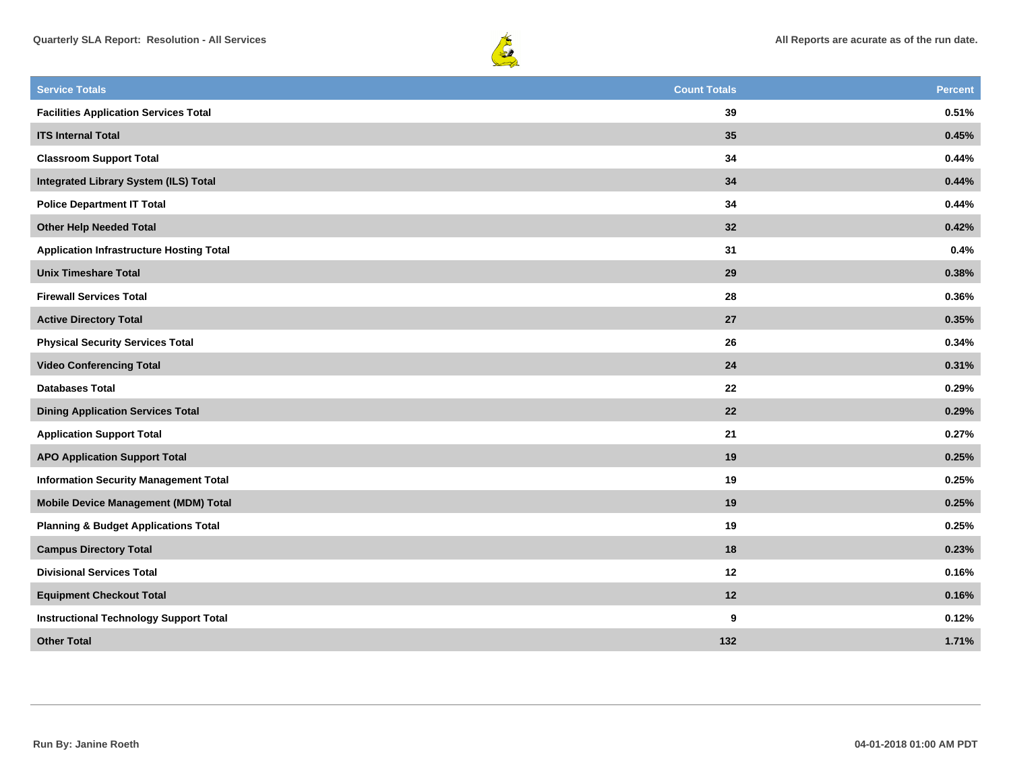



| <b>Service Totals</b>                           | <b>Count Totals</b> | <b>Percent</b> |
|-------------------------------------------------|---------------------|----------------|
| <b>Facilities Application Services Total</b>    | 39                  | 0.51%          |
| <b>ITS Internal Total</b>                       | 35                  | 0.45%          |
| <b>Classroom Support Total</b>                  | 34                  | 0.44%          |
| <b>Integrated Library System (ILS) Total</b>    | 34                  | 0.44%          |
| <b>Police Department IT Total</b>               | 34                  | 0.44%          |
| <b>Other Help Needed Total</b>                  | 32                  | 0.42%          |
| <b>Application Infrastructure Hosting Total</b> | 31                  | 0.4%           |
| <b>Unix Timeshare Total</b>                     | 29                  | 0.38%          |
| <b>Firewall Services Total</b>                  | 28                  | 0.36%          |
| <b>Active Directory Total</b>                   | 27                  | 0.35%          |
| <b>Physical Security Services Total</b>         | 26                  | 0.34%          |
| <b>Video Conferencing Total</b>                 | 24                  | 0.31%          |
| <b>Databases Total</b>                          | 22                  | 0.29%          |
| <b>Dining Application Services Total</b>        | 22                  | 0.29%          |
| <b>Application Support Total</b>                | 21                  | 0.27%          |
| <b>APO Application Support Total</b>            | 19                  | 0.25%          |
| <b>Information Security Management Total</b>    | 19                  | 0.25%          |
| <b>Mobile Device Management (MDM) Total</b>     | 19                  | 0.25%          |
| <b>Planning &amp; Budget Applications Total</b> | 19                  | 0.25%          |
| <b>Campus Directory Total</b>                   | 18                  | 0.23%          |
| <b>Divisional Services Total</b>                | 12                  | 0.16%          |
| <b>Equipment Checkout Total</b>                 | 12                  | 0.16%          |
| <b>Instructional Technology Support Total</b>   | 9                   | 0.12%          |
| <b>Other Total</b>                              | 132                 | 1.71%          |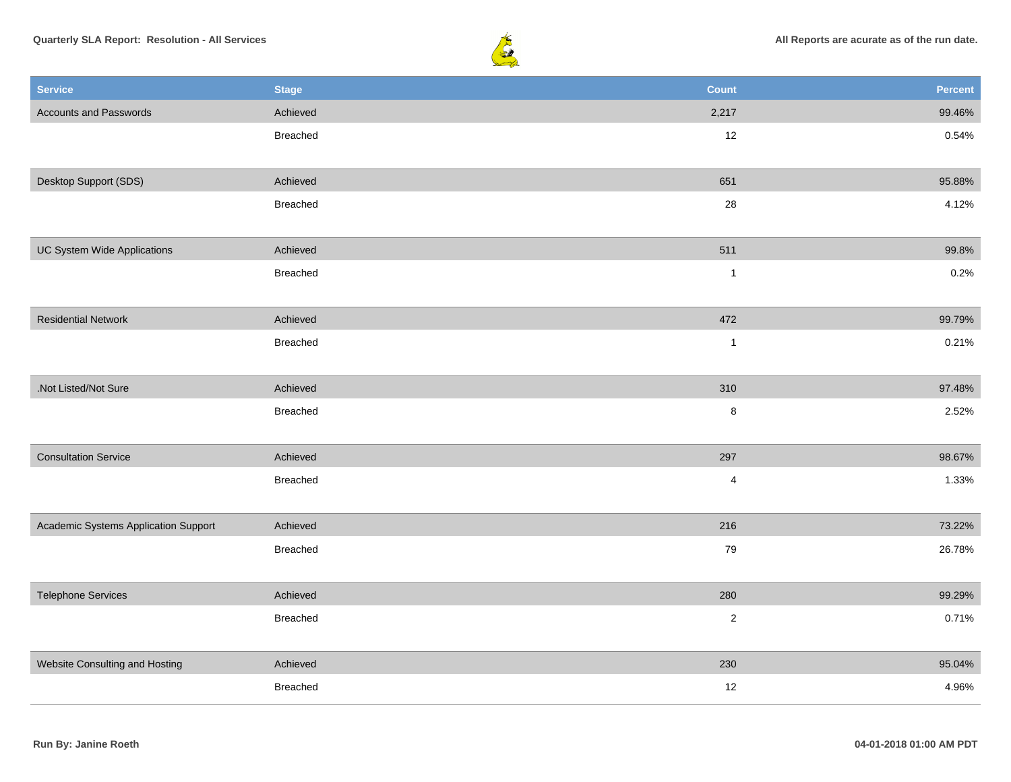



| <b>Service</b>                       | <b>Stage</b> | <b>Count</b>            | Percent |
|--------------------------------------|--------------|-------------------------|---------|
| <b>Accounts and Passwords</b>        | Achieved     | 2,217                   | 99.46%  |
|                                      | Breached     | 12                      | 0.54%   |
|                                      |              |                         |         |
| Desktop Support (SDS)                | Achieved     | 651                     | 95.88%  |
|                                      | Breached     | 28                      | 4.12%   |
|                                      |              |                         |         |
| UC System Wide Applications          | Achieved     | 511                     | 99.8%   |
|                                      | Breached     | $\mathbf{1}$            | 0.2%    |
|                                      |              |                         |         |
| <b>Residential Network</b>           | Achieved     | 472                     | 99.79%  |
|                                      | Breached     | $\mathbf{1}$            | 0.21%   |
|                                      |              |                         |         |
| .Not Listed/Not Sure                 | Achieved     | 310                     | 97.48%  |
|                                      | Breached     | $\bf8$                  | 2.52%   |
|                                      |              |                         |         |
| <b>Consultation Service</b>          | Achieved     | 297                     | 98.67%  |
|                                      | Breached     | $\overline{\mathbf{4}}$ | 1.33%   |
|                                      |              |                         |         |
| Academic Systems Application Support | Achieved     | 216                     | 73.22%  |
|                                      | Breached     | 79                      | 26.78%  |
|                                      |              |                         |         |
| <b>Telephone Services</b>            | Achieved     | 280                     | 99.29%  |
|                                      | Breached     | $\sqrt{2}$              | 0.71%   |
|                                      |              |                         |         |
| Website Consulting and Hosting       | Achieved     | 230                     | 95.04%  |
|                                      | Breached     | 12                      | 4.96%   |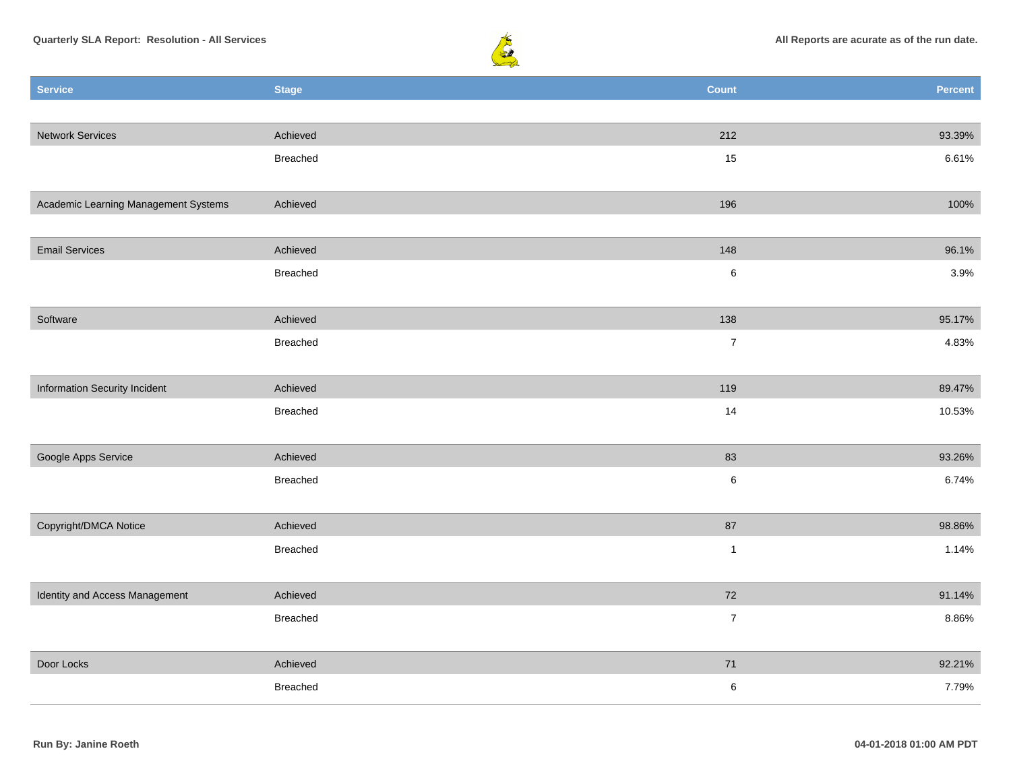



| <b>Service</b>                       | <b>Stage</b> | <b>Count</b>   | Percent |
|--------------------------------------|--------------|----------------|---------|
|                                      |              |                |         |
| <b>Network Services</b>              | Achieved     | 212            | 93.39%  |
|                                      | Breached     | 15             | 6.61%   |
|                                      |              |                |         |
| Academic Learning Management Systems | Achieved     | 196            | 100%    |
|                                      |              |                |         |
| <b>Email Services</b>                | Achieved     | 148            | 96.1%   |
|                                      | Breached     | $\,6\,$        | 3.9%    |
|                                      |              |                |         |
| Software                             | Achieved     | 138            | 95.17%  |
|                                      | Breached     | $\overline{7}$ | 4.83%   |
|                                      |              |                |         |
| Information Security Incident        | Achieved     | 119            | 89.47%  |
|                                      | Breached     | 14             | 10.53%  |
|                                      |              |                |         |
| Google Apps Service                  | Achieved     | 83             | 93.26%  |
|                                      | Breached     | $\,6\,$        | 6.74%   |
|                                      |              |                |         |
| Copyright/DMCA Notice                | Achieved     | 87             | 98.86%  |
|                                      | Breached     | $\mathbf{1}$   | 1.14%   |
|                                      |              |                |         |
| Identity and Access Management       | Achieved     | 72             | 91.14%  |
|                                      | Breached     | $\overline{7}$ | 8.86%   |
|                                      |              |                |         |
| Door Locks                           | Achieved     | 71             | 92.21%  |
|                                      | Breached     | $\,6\,$        | 7.79%   |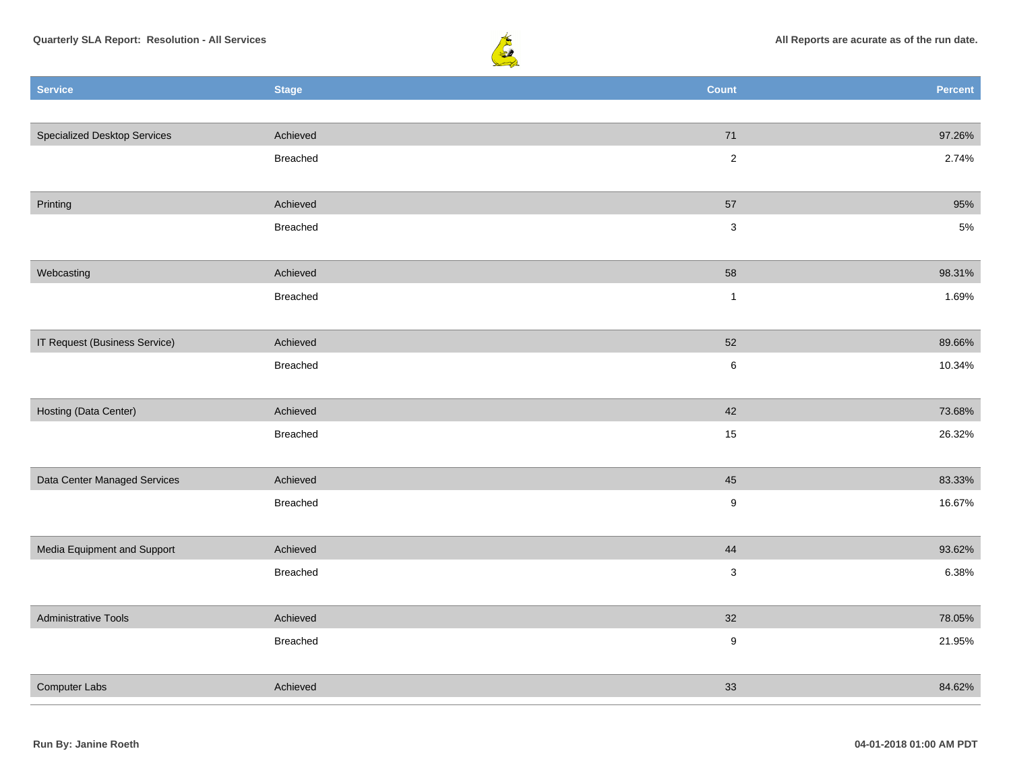



| <b>Service</b>                      | <b>Stage</b>    | <b>Count</b>     | <b>Percent</b> |
|-------------------------------------|-----------------|------------------|----------------|
|                                     |                 |                  |                |
| <b>Specialized Desktop Services</b> | Achieved        | $71$             | 97.26%         |
|                                     | Breached        | $\overline{2}$   | 2.74%          |
|                                     |                 |                  |                |
| Printing                            | Achieved        | 57               | 95%            |
|                                     | Breached        | $\mathbf{3}$     | $5\%$          |
|                                     |                 |                  |                |
| Webcasting                          | Achieved        | 58               | 98.31%         |
|                                     | Breached        | $\mathbf{1}$     | 1.69%          |
|                                     |                 |                  |                |
| IT Request (Business Service)       | Achieved        | 52               | 89.66%         |
|                                     | Breached        | $\,6\,$          | 10.34%         |
|                                     |                 |                  |                |
| Hosting (Data Center)               | Achieved        | 42               | 73.68%         |
|                                     | Breached        | $15\,$           | 26.32%         |
|                                     |                 |                  |                |
| Data Center Managed Services        | Achieved        | 45               | 83.33%         |
|                                     | Breached        | $9\,$            | 16.67%         |
| Media Equipment and Support         | Achieved        | 44               | 93.62%         |
|                                     | <b>Breached</b> | $\mathbf{3}$     | 6.38%          |
|                                     |                 |                  |                |
| <b>Administrative Tools</b>         | Achieved        | 32               | 78.05%         |
|                                     | Breached        | $\boldsymbol{9}$ | 21.95%         |
|                                     |                 |                  |                |
| Computer Labs                       | Achieved        | 33               | 84.62%         |
|                                     |                 |                  |                |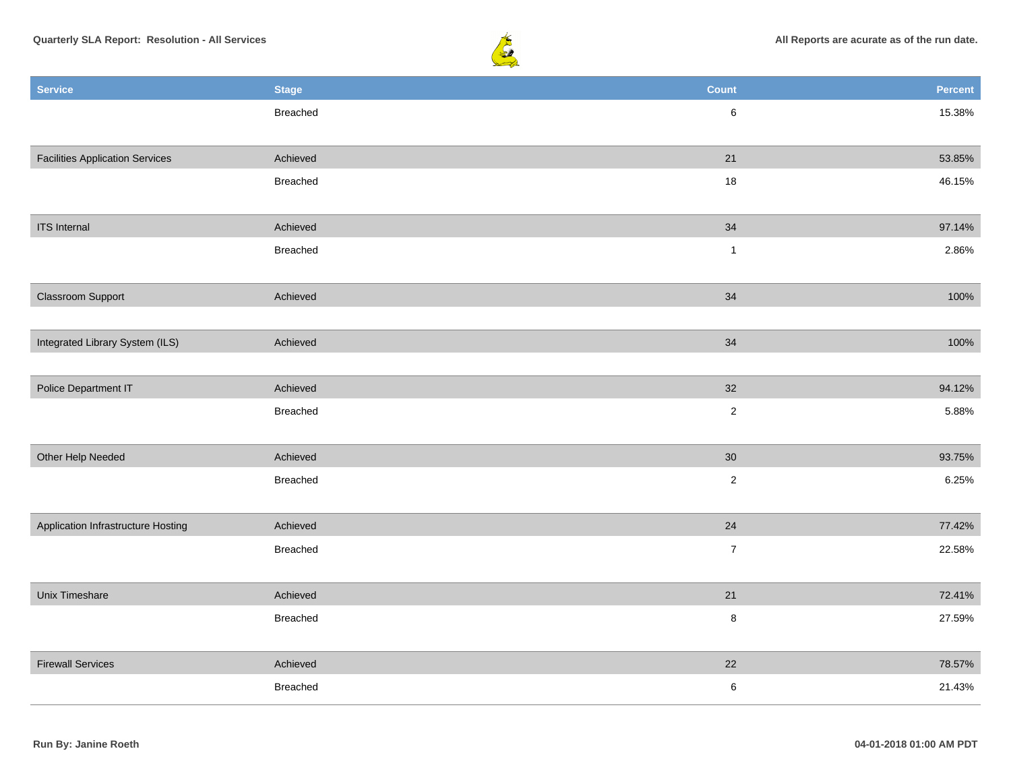

| <b>Service</b>                         | <b>Stage</b>    | <b>Count</b>   | <b>Percent</b> |
|----------------------------------------|-----------------|----------------|----------------|
|                                        | Breached        | $\,6\,$        | 15.38%         |
|                                        |                 |                |                |
| <b>Facilities Application Services</b> | Achieved        | 21             | 53.85%         |
|                                        | Breached        | 18             | 46.15%         |
|                                        |                 |                |                |
| <b>ITS</b> Internal                    | Achieved        | 34             | 97.14%         |
|                                        | <b>Breached</b> | $\mathbf{1}$   | 2.86%          |
|                                        |                 |                |                |
| Classroom Support                      | Achieved        | $34$           | 100%           |
|                                        |                 |                |                |
| Integrated Library System (ILS)        | Achieved        | 34             | 100%           |
|                                        |                 |                |                |
| Police Department IT                   | Achieved        | 32             | 94.12%         |
|                                        | Breached        | $\sqrt{2}$     | 5.88%          |
| Other Help Needed                      | Achieved        | 30             | 93.75%         |
|                                        | Breached        | $\overline{c}$ | 6.25%          |
|                                        |                 |                |                |
| Application Infrastructure Hosting     | Achieved        | 24             | 77.42%         |
|                                        | Breached        | $\overline{7}$ | 22.58%         |
|                                        |                 |                |                |
| Unix Timeshare                         | Achieved        | 21             | 72.41%         |
|                                        | Breached        | $\bf 8$        | 27.59%         |
|                                        |                 |                |                |
| <b>Firewall Services</b>               | Achieved        | 22             | 78.57%         |
|                                        | <b>Breached</b> | $\,6\,$        | 21.43%         |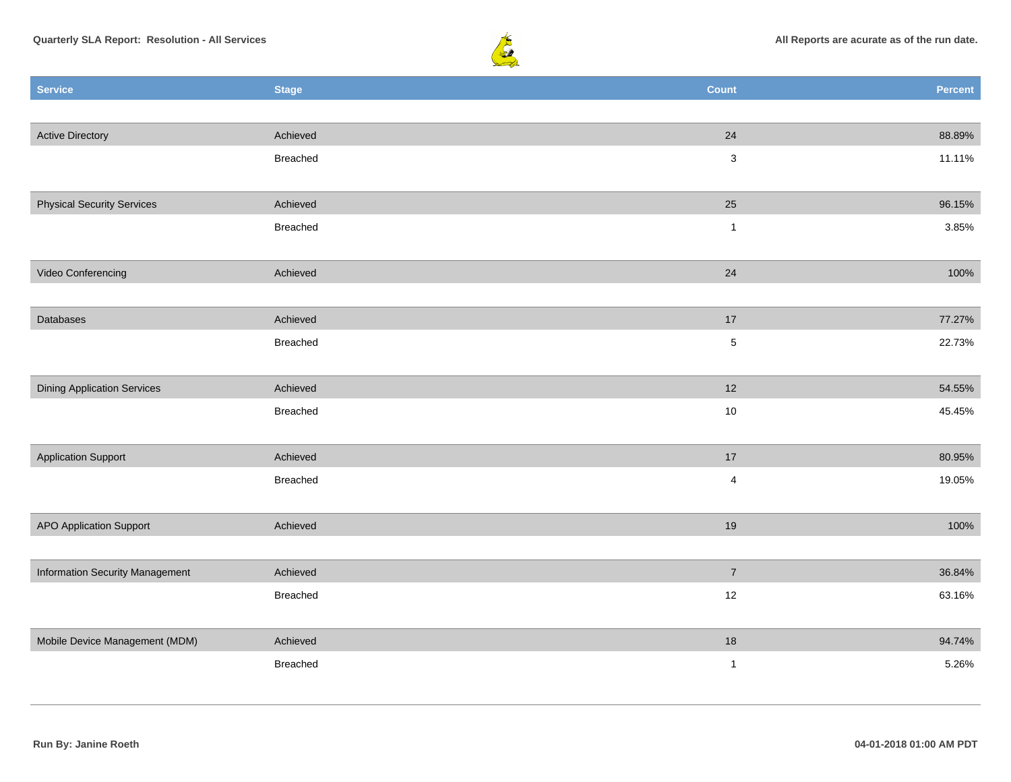



| <b>Service</b>                     | <b>Stage</b> | <b>Count</b>   | <b>Percent</b> |
|------------------------------------|--------------|----------------|----------------|
|                                    |              |                |                |
| <b>Active Directory</b>            | Achieved     | 24             | 88.89%         |
|                                    | Breached     | $\mathbf{3}$   | 11.11%         |
|                                    |              |                |                |
| <b>Physical Security Services</b>  | Achieved     | 25             | 96.15%         |
|                                    | Breached     | $\mathbf{1}$   | 3.85%          |
|                                    |              |                |                |
| Video Conferencing                 | Achieved     | 24             | 100%           |
|                                    |              |                |                |
| Databases                          | Achieved     | 17             | 77.27%         |
|                                    | Breached     | $\,$ 5 $\,$    | 22.73%         |
|                                    |              |                |                |
| <b>Dining Application Services</b> | Achieved     | 12             | 54.55%         |
|                                    | Breached     | $10$           | 45.45%         |
|                                    |              |                |                |
| <b>Application Support</b>         | Achieved     | 17             | 80.95%         |
|                                    | Breached     | $\overline{4}$ | 19.05%         |
|                                    |              |                |                |
| <b>APO Application Support</b>     | Achieved     | 19             | 100%           |
|                                    |              |                |                |
| Information Security Management    | Achieved     | $\overline{7}$ | 36.84%         |
|                                    | Breached     | 12             | 63.16%         |
|                                    |              |                |                |
| Mobile Device Management (MDM)     | Achieved     | 18             | 94.74%         |
|                                    | Breached     | $\mathbf{1}$   | 5.26%          |
|                                    |              |                |                |